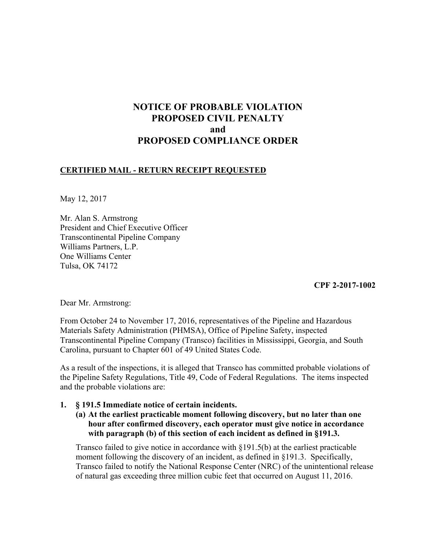# **NOTICE OF PROBABLE VIOLATION PROPOSED CIVIL PENALTY and PROPOSED COMPLIANCE ORDER**

## **CERTIFIED MAIL - RETURN RECEIPT REQUESTED**

May 12, 2017

Mr. Alan S. Armstrong President and Chief Executive Officer Transcontinental Pipeline Company Williams Partners, L.P. One Williams Center Tulsa, OK 74172

 **CPF 2-2017-1002** 

Dear Mr. Armstrong:

From October 24 to November 17, 2016, representatives of the Pipeline and Hazardous Materials Safety Administration (PHMSA), Office of Pipeline Safety, inspected Transcontinental Pipeline Company (Transco) facilities in Mississippi, Georgia, and South Carolina, pursuant to Chapter 601 of 49 United States Code.

As a result of the inspections, it is alleged that Transco has committed probable violations of the Pipeline Safety Regulations, Title 49, Code of Federal Regulations. The items inspected and the probable violations are:

## **1. § 191.5 Immediate notice of certain incidents.**

**(a) At the earliest practicable moment following discovery, but no later than one hour after confirmed discovery, each operator must give notice in accordance with paragraph (b) of this section of each incident as defined in §191.3.** 

Transco failed to give notice in accordance with  $\S 191.5(b)$  at the earliest practicable moment following the discovery of an incident, as defined in §191.3. Specifically, Transco failed to notify the National Response Center (NRC) of the unintentional release of natural gas exceeding three million cubic feet that occurred on August 11, 2016.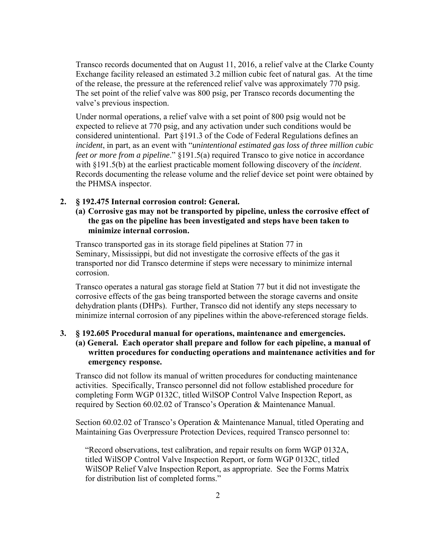Transco records documented that on August 11, 2016, a relief valve at the Clarke County Exchange facility released an estimated 3.2 million cubic feet of natural gas. At the time of the release, the pressure at the referenced relief valve was approximately 770 psig. The set point of the relief valve was 800 psig, per Transco records documenting the valve's previous inspection.

Under normal operations, a relief valve with a set point of 800 psig would not be expected to relieve at 770 psig, and any activation under such conditions would be considered unintentional. Part §191.3 of the Code of Federal Regulations defines an *incident*, in part, as an event with "*unintentional estimated gas loss of three million cubic feet or more from a pipeline*." §191.5(a) required Transco to give notice in accordance with §191.5(b) at the earliest practicable moment following discovery of the *incident*. Records documenting the release volume and the relief device set point were obtained by the PHMSA inspector.

#### **2. § 192.475 Internal corrosion control: General.**

**(a) Corrosive gas may not be transported by pipeline, unless the corrosive effect of the gas on the pipeline has been investigated and steps have been taken to minimize internal corrosion.** 

Transco transported gas in its storage field pipelines at Station 77 in Seminary, Mississippi, but did not investigate the corrosive effects of the gas it transported nor did Transco determine if steps were necessary to minimize internal corrosion.

Transco operates a natural gas storage field at Station 77 but it did not investigate the corrosive effects of the gas being transported between the storage caverns and onsite dehydration plants (DHPs). Further, Transco did not identify any steps necessary to minimize internal corrosion of any pipelines within the above-referenced storage fields.

## **3. § 192.605 Procedural manual for operations, maintenance and emergencies. (a) General. Each operator shall prepare and follow for each pipeline, a manual of written procedures for conducting operations and maintenance activities and for emergency response.**

Transco did not follow its manual of written procedures for conducting maintenance activities. Specifically, Transco personnel did not follow established procedure for completing Form WGP 0132C, titled WilSOP Control Valve Inspection Report, as required by Section 60.02.02 of Transco's Operation & Maintenance Manual.

Section 60.02.02 of Transco's Operation & Maintenance Manual, titled Operating and Maintaining Gas Overpressure Protection Devices, required Transco personnel to:

"Record observations, test calibration, and repair results on form WGP 0132A, titled WilSOP Control Valve Inspection Report, or form WGP 0132C, titled WilSOP Relief Valve Inspection Report, as appropriate. See the Forms Matrix for distribution list of completed forms."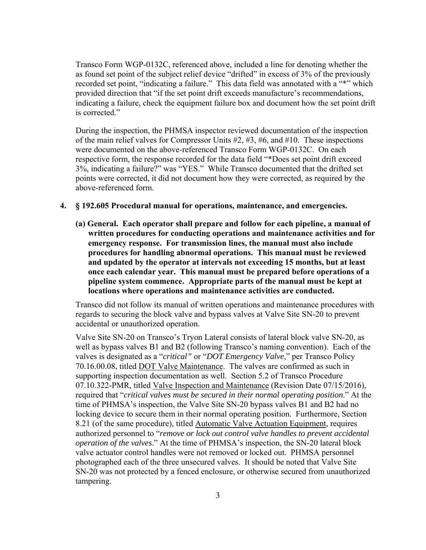Transco Form WGP-0132C, referenced above, included a line for denoting whether the as found set point of the subject relief device "drifted" in excess of 3% of the previously recorded set point, "indicating a failure." This data field was annotated with a "\*" which provided direction that "if the set point drift exceeds manufacture's recommendations, indicating a failure, check the equipment failure box and document how the set point drift is corrected."

During the inspection, the PHMSA inspector reviewed documentation of the inspection of the main relief valves for Compressor Units #2, #3, #6, and #10. These inspections were documented on the above-referenced Transco Form WGP-0132C. On each respective form, the response recorded for the data field "\*Does set point drift exceed 3%, indicating a failure?" was "YES." While Transco documented that the drifted set points were corrected, it did not document how they were corrected, as required by the above-referenced form.

- **4. § 192.605 Procedural manual for operations, maintenance, and emergencies.**
	- **(a) General. Each operator shall prepare and follow for each pipeline, a manual of written procedures for conducting operations and maintenance activities and for emergency response. For transmission lines, the manual must also include procedures for handling abnormal operations. This manual must be reviewed and updated by the operator at intervals not exceeding 15 months, but at least once each calendar year. This manual must be prepared before operations of a pipeline system commence. Appropriate parts of the manual must be kept at locations where operations and maintenance activities are conducted.**

Transco did not follow its manual of written operations and maintenance procedures with regards to securing the block valve and bypass valves at Valve Site SN-20 to prevent accidental or unauthorized operation.

Valve Site SN-20 on Transco's Tryon Lateral consists of lateral block valve SN-20, as well as bypass valves B1 and B2 (following Transco's naming convention). Each of the valves is designated as a "*critical"* or "*DOT Emergency Valve*," per Transco Policy 70.16.00.08, titled DOT Valve Maintenance. The valves are confirmed as such in supporting inspection documentation as well. Section 5.2 of Transco Procedure 07.10.322-PMR, titled Valve Inspection and Maintenance (Revision Date 07/15/2016), required that "*critical valves must be secured in their normal operating position*." At the time of PHMSA's inspection, the Valve Site SN-20 bypass valves B1 and B2 had no locking device to secure them in their normal operating position. Furthermore, Section 8.21 (of the same procedure), titled Automatic Valve Actuation Equipment, requires authorized personnel to "*remove or lock out control valve handles to prevent accidental operation of the valves*." At the time of PHMSA's inspection, the SN-20 lateral block valve actuator control handles were not removed or locked out. PHMSA personnel photographed each of the three unsecured valves. It should be noted that Valve Site SN-20 was not protected by a fenced enclosure, or otherwise secured from unauthorized tampering.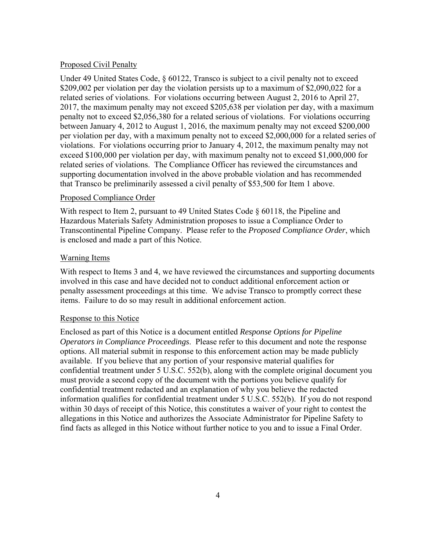#### Proposed Civil Penalty

Under 49 United States Code,  $\S 60122$ , Transco is subject to a civil penalty not to exceed \$209,002 per violation per day the violation persists up to a maximum of \$2,090,022 for a related series of violations. For violations occurring between August 2, 2016 to April 27, 2017, the maximum penalty may not exceed \$205,638 per violation per day, with a maximum penalty not to exceed \$2,056,380 for a related serious of violations. For violations occurring between January 4, 2012 to August 1, 2016, the maximum penalty may not exceed \$200,000 per violation per day, with a maximum penalty not to exceed \$2,000,000 for a related series of violations. For violations occurring prior to January 4, 2012, the maximum penalty may not exceed \$100,000 per violation per day, with maximum penalty not to exceed \$1,000,000 for related series of violations. The Compliance Officer has reviewed the circumstances and supporting documentation involved in the above probable violation and has recommended that Transco be preliminarily assessed a civil penalty of \$53,500 for Item 1 above.

### Proposed Compliance Order

With respect to Item 2, pursuant to 49 United States Code  $\S$  60118, the Pipeline and Hazardous Materials Safety Administration proposes to issue a Compliance Order to Transcontinental Pipeline Company. Please refer to the *Proposed Compliance Order*, which is enclosed and made a part of this Notice.

### Warning Items

With respect to Items 3 and 4, we have reviewed the circumstances and supporting documents involved in this case and have decided not to conduct additional enforcement action or penalty assessment proceedings at this time. We advise Transco to promptly correct these items. Failure to do so may result in additional enforcement action.

## Response to this Notice

Enclosed as part of this Notice is a document entitled *Response Options for Pipeline Operators in Compliance Proceedings*. Please refer to this document and note the response options. All material submit in response to this enforcement action may be made publicly available. If you believe that any portion of your responsive material qualifies for confidential treatment under 5 U.S.C. 552(b), along with the complete original document you must provide a second copy of the document with the portions you believe qualify for confidential treatment redacted and an explanation of why you believe the redacted information qualifies for confidential treatment under 5 U.S.C. 552(b). If you do not respond within 30 days of receipt of this Notice, this constitutes a waiver of your right to contest the allegations in this Notice and authorizes the Associate Administrator for Pipeline Safety to find facts as alleged in this Notice without further notice to you and to issue a Final Order.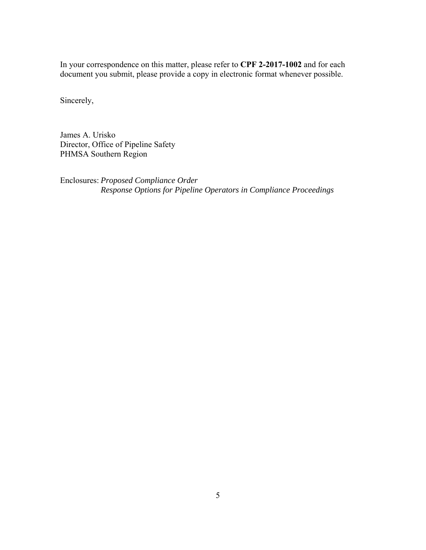In your correspondence on this matter, please refer to **CPF 2-2017-1002** and for each document you submit, please provide a copy in electronic format whenever possible.

Sincerely,

James A. Urisko Director, Office of Pipeline Safety PHMSA Southern Region

Enclosures: *Proposed Compliance Order Response Options for Pipeline Operators in Compliance Proceedings*